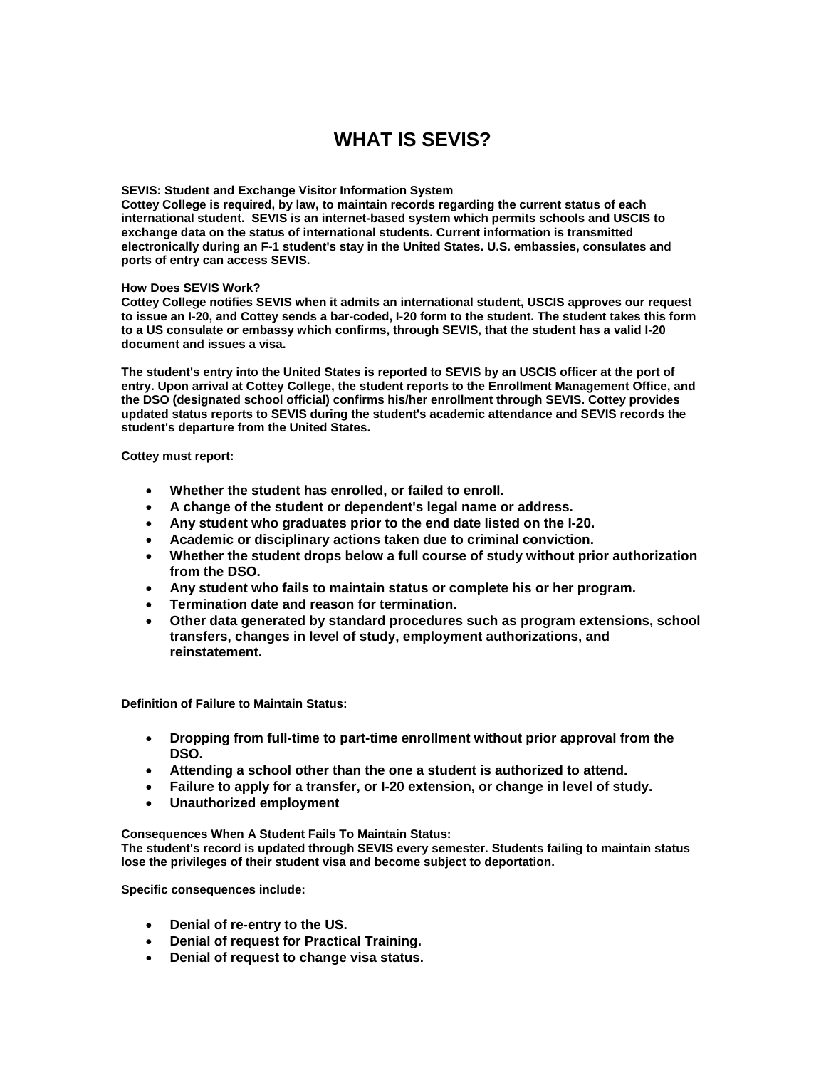## **WHAT IS SEVIS?**

## **SEVIS: Student and Exchange Visitor Information System**

**Cottey College is required, by law, to maintain records regarding the current status of each international student. SEVIS is an internet-based system which permits schools and USCIS to exchange data on the status of international students. Current information is transmitted electronically during an F-1 student's stay in the United States. U.S. embassies, consulates and ports of entry can access SEVIS.** 

## **How Does SEVIS Work?**

**Cottey College notifies SEVIS when it admits an international student, USCIS approves our request to issue an I-20, and Cottey sends a bar-coded, I-20 form to the student. The student takes this form to a US consulate or embassy which confirms, through SEVIS, that the student has a valid I-20 document and issues a visa.** 

**The student's entry into the United States is reported to SEVIS by an USCIS officer at the port of entry. Upon arrival at Cottey College, the student reports to the Enrollment Management Office, and the DSO (designated school official) confirms his/her enrollment through SEVIS. Cottey provides updated status reports to SEVIS during the student's academic attendance and SEVIS records the student's departure from the United States.** 

**Cottey must report:** 

- **Whether the student has enrolled, or failed to enroll.**
- **A change of the student or dependent's legal name or address.**
- **Any student who graduates prior to the end date listed on the I-20.**
- **Academic or disciplinary actions taken due to criminal conviction.**
- **Whether the student drops below a full course of study without prior authorization from the DSO.**
- **Any student who fails to maintain status or complete his or her program.**
- **Termination date and reason for termination.**
- **Other data generated by standard procedures such as program extensions, school transfers, changes in level of study, employment authorizations, and reinstatement.**

**Definition of Failure to Maintain Status:** 

- **Dropping from full-time to part-time enrollment without prior approval from the DSO.**
- **Attending a school other than the one a student is authorized to attend.**
- **Failure to apply for a transfer, or I-20 extension, or change in level of study.**
- **Unauthorized employment**

**Consequences When A Student Fails To Maintain Status:** 

**The student's record is updated through SEVIS every semester. Students failing to maintain status lose the privileges of their student visa and become subject to deportation.** 

**Specific consequences include:** 

- **Denial of re-entry to the US.**
- **Denial of request for Practical Training.**
- **Denial of request to change visa status.**